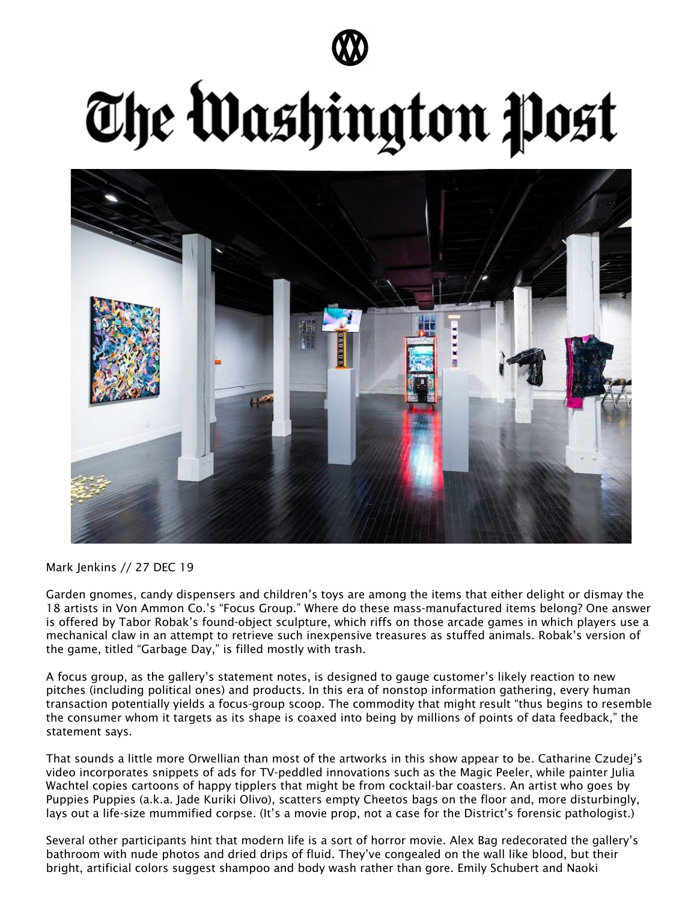

## The Washington Post



Mark Jenkins // 27 DEC 19

Garden gnomes, candy dispensers and children's toys are among the items that either delight or dismay the 18 artists in Von Ammon Co.'s "Focus Group." Where do these mass-manufactured items belong? One answer is offered by Tabor Robak's found-object sculpture, which riffs on those arcade games in which players use a mechanical claw in an attempt to retrieve such inexpensive treasures as stuffed animals. Robak's version of the game, titled "Garbage Day," is filled mostly with trash.

A focus group, as the gallery's statement notes, is designed to gauge customer's likely reaction to new pitches (including political ones) and products. In this era of nonstop information gathering, every human transaction potentially yields a focus-group scoop. The commodity that might result "thus begins to resemble the consumer whom it targets as its shape is coaxed into being by millions of points of data feedback," the statement says.

That sounds a little more Orwellian than most of the artworks in this show appear to be. Catharine Czudej's video incorporates snippets of ads for TV-peddled innovations such as the Magic Peeler, while painter Julia Wachtel copies cartoons of happy tipplers that might be from cocktail-bar coasters. An artist who goes by Puppies Puppies (a.k.a. Jade Kuriki Olivo), scatters empty Cheetos bags on the floor and, more disturbingly, lays out a life-size mummified corpse. (It's a movie prop, not a case for the District's forensic pathologist.)

Several other participants hint that modern life is a sort of horror movie. Alex Bag redecorated the gallery's bathroom with nude photos and dried drips of fluid. They've congealed on the wall like blood, but their bright, artificial colors suggest shampoo and body wash rather than gore. Emily Schubert and Naoki